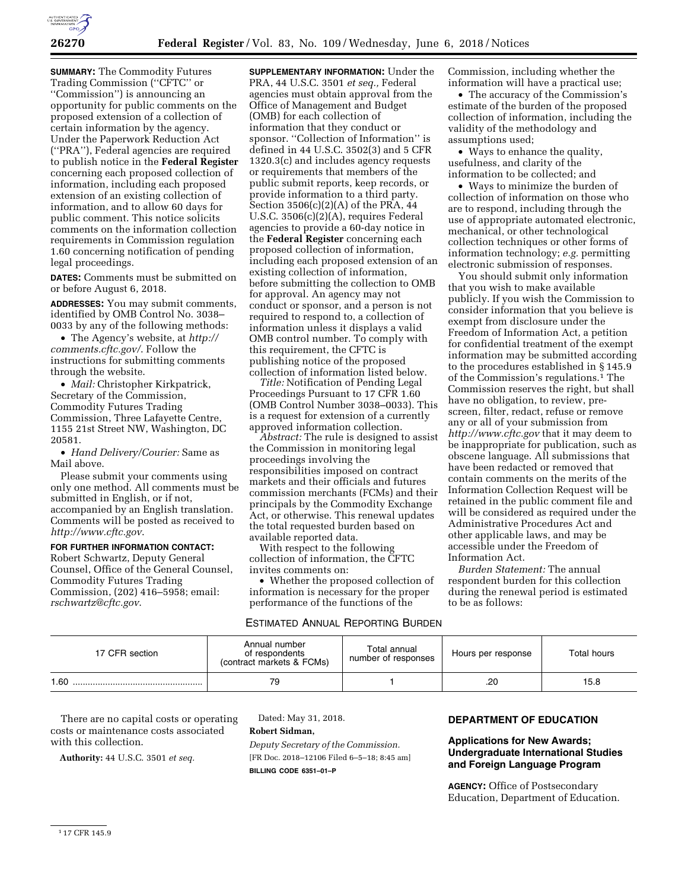

**SUMMARY:** The Commodity Futures Trading Commission (''CFTC'' or ''Commission'') is announcing an opportunity for public comments on the proposed extension of a collection of certain information by the agency. Under the Paperwork Reduction Act (''PRA''), Federal agencies are required to publish notice in the **Federal Register**  concerning each proposed collection of information, including each proposed extension of an existing collection of information, and to allow 60 days for public comment. This notice solicits comments on the information collection requirements in Commission regulation 1.60 concerning notification of pending legal proceedings.

**DATES:** Comments must be submitted on or before August 6, 2018.

**ADDRESSES:** You may submit comments, identified by OMB Control No. 3038– 0033 by any of the following methods:

• The Agency's website, at *[http://](http://comments.cftc.gov/) [comments.cftc.gov/](http://comments.cftc.gov/)*. Follow the instructions for submitting comments through the website.

• *Mail:* Christopher Kirkpatrick, Secretary of the Commission, Commodity Futures Trading Commission, Three Lafayette Centre, 1155 21st Street NW, Washington, DC 20581.

• *Hand Delivery/Courier:* Same as Mail above.

Please submit your comments using only one method. All comments must be submitted in English, or if not, accompanied by an English translation. Comments will be posted as received to *<http://www.cftc.gov>*.

**FOR FURTHER INFORMATION CONTACT:**  Robert Schwartz, Deputy General Counsel, Office of the General Counsel, Commodity Futures Trading Commission, (202) 416–5958; email: *[rschwartz@cftc.gov](mailto:rschwartz@cftc.gov)*.

**SUPPLEMENTARY INFORMATION:** Under the PRA, 44 U.S.C. 3501 *et seq.,* Federal agencies must obtain approval from the Office of Management and Budget (OMB) for each collection of information that they conduct or sponsor. "Collection of Information" is defined in 44 U.S.C. 3502(3) and 5 CFR 1320.3(c) and includes agency requests or requirements that members of the public submit reports, keep records, or provide information to a third party. Section  $3506(c)(2)(A)$  of the PRA, 44 U.S.C. 3506(c)(2)(A), requires Federal agencies to provide a 60-day notice in the **Federal Register** concerning each proposed collection of information, including each proposed extension of an existing collection of information, before submitting the collection to OMB for approval. An agency may not conduct or sponsor, and a person is not required to respond to, a collection of information unless it displays a valid OMB control number. To comply with this requirement, the CFTC is publishing notice of the proposed collection of information listed below.

*Title:* Notification of Pending Legal Proceedings Pursuant to 17 CFR 1.60 (OMB Control Number 3038–0033). This is a request for extension of a currently approved information collection.

*Abstract:* The rule is designed to assist the Commission in monitoring legal proceedings involving the responsibilities imposed on contract markets and their officials and futures commission merchants (FCMs) and their principals by the Commodity Exchange Act, or otherwise. This renewal updates the total requested burden based on available reported data.

With respect to the following collection of information, the CFTC invites comments on:

• Whether the proposed collection of information is necessary for the proper performance of the functions of the

## ESTIMATED ANNUAL REPORTING BURDEN

Commission, including whether the information will have a practical use;

• The accuracy of the Commission's estimate of the burden of the proposed collection of information, including the validity of the methodology and assumptions used;

• Ways to enhance the quality. usefulness, and clarity of the information to be collected; and

• Ways to minimize the burden of collection of information on those who are to respond, including through the use of appropriate automated electronic, mechanical, or other technological collection techniques or other forms of information technology; *e.g.* permitting electronic submission of responses.

You should submit only information that you wish to make available publicly. If you wish the Commission to consider information that you believe is exempt from disclosure under the Freedom of Information Act, a petition for confidential treatment of the exempt information may be submitted according to the procedures established in § 145.9 of the Commission's regulations.1 The Commission reserves the right, but shall have no obligation, to review, prescreen, filter, redact, refuse or remove any or all of your submission from *<http://www.cftc.gov>* that it may deem to be inappropriate for publication, such as obscene language. All submissions that have been redacted or removed that contain comments on the merits of the Information Collection Request will be retained in the public comment file and will be considered as required under the Administrative Procedures Act and other applicable laws, and may be accessible under the Freedom of Information Act.

*Burden Statement:* The annual respondent burden for this collection during the renewal period is estimated to be as follows:

| 17 CFR section | Annual number<br>of respondents<br>(contract markets & FCMs) | Total annual<br>number of responses | Hours per response | Total hours |
|----------------|--------------------------------------------------------------|-------------------------------------|--------------------|-------------|
| 1.60           | 79                                                           |                                     | .20                | 15.8        |

There are no capital costs or operating costs or maintenance costs associated with this collection.

**Authority:** 44 U.S.C. 3501 *et seq.* 

Dated: May 31, 2018. **Robert Sidman,**  *Deputy Secretary of the Commission.*  [FR Doc. 2018–12106 Filed 6–5–18; 8:45 am] **BILLING CODE 6351–01–P** 

## **DEPARTMENT OF EDUCATION**

## **Applications for New Awards; Undergraduate International Studies and Foreign Language Program**

**AGENCY:** Office of Postsecondary Education, Department of Education.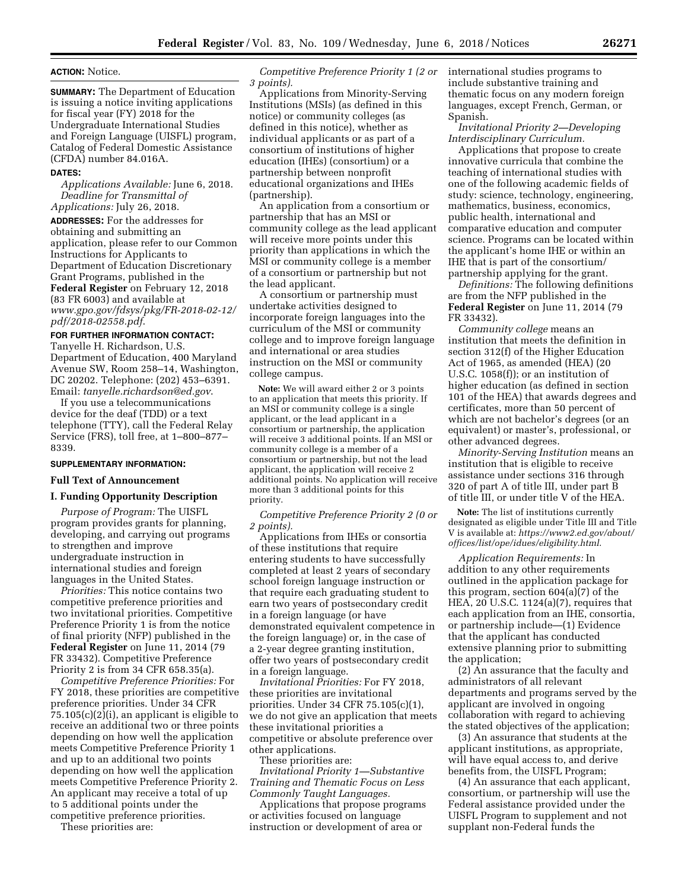#### **ACTION:** Notice.

**SUMMARY:** The Department of Education is issuing a notice inviting applications for fiscal year (FY) 2018 for the Undergraduate International Studies and Foreign Language (UISFL) program, Catalog of Federal Domestic Assistance (CFDA) number 84.016A.

#### **DATES:**

*Applications Available:* June 6, 2018. *Deadline for Transmittal of Applications:* July 26, 2018.

**ADDRESSES:** For the addresses for obtaining and submitting an application, please refer to our Common Instructions for Applicants to Department of Education Discretionary Grant Programs, published in the **Federal Register** on February 12, 2018 (83 FR 6003) and available at *[www.gpo.gov/fdsys/pkg/FR-2018-02-12/](http://www.gpo.gov/fdsys/pkg/FR-2018-02-12/pdf/2018-02558.pdf) [pdf/2018-02558.pdf](http://www.gpo.gov/fdsys/pkg/FR-2018-02-12/pdf/2018-02558.pdf)*.

# **FOR FURTHER INFORMATION CONTACT:**

Tanyelle H. Richardson, U.S. Department of Education, 400 Maryland Avenue SW, Room 258–14, Washington, DC 20202. Telephone: (202) 453–6391. Email: *[tanyelle.richardson@ed.gov](mailto:tanyelle.richardson@ed.gov)*.

If you use a telecommunications device for the deaf (TDD) or a text telephone (TTY), call the Federal Relay Service (FRS), toll free, at 1–800–877– 8339.

### **SUPPLEMENTARY INFORMATION:**

## **Full Text of Announcement**

### **I. Funding Opportunity Description**

*Purpose of Program:* The UISFL program provides grants for planning, developing, and carrying out programs to strengthen and improve undergraduate instruction in international studies and foreign languages in the United States.

*Priorities:* This notice contains two competitive preference priorities and two invitational priorities. Competitive Preference Priority 1 is from the notice of final priority (NFP) published in the **Federal Register** on June 11, 2014 (79 FR 33432). Competitive Preference Priority 2 is from 34 CFR 658.35(a).

*Competitive Preference Priorities:* For FY 2018, these priorities are competitive preference priorities. Under 34 CFR 75.105(c)(2)(i), an applicant is eligible to receive an additional two or three points depending on how well the application meets Competitive Preference Priority 1 and up to an additional two points depending on how well the application meets Competitive Preference Priority 2. An applicant may receive a total of up to 5 additional points under the competitive preference priorities.

These priorities are:

*Competitive Preference Priority 1 (2 or 3 points).* 

Applications from Minority-Serving Institutions (MSIs) (as defined in this notice) or community colleges (as defined in this notice), whether as individual applicants or as part of a consortium of institutions of higher education (IHEs) (consortium) or a partnership between nonprofit educational organizations and IHEs (partnership).

An application from a consortium or partnership that has an MSI or community college as the lead applicant will receive more points under this priority than applications in which the MSI or community college is a member of a consortium or partnership but not the lead applicant.

A consortium or partnership must undertake activities designed to incorporate foreign languages into the curriculum of the MSI or community college and to improve foreign language and international or area studies instruction on the MSI or community college campus.

**Note:** We will award either 2 or 3 points to an application that meets this priority. If an MSI or community college is a single applicant, or the lead applicant in a consortium or partnership, the application will receive 3 additional points. If an MSI or community college is a member of a consortium or partnership, but not the lead applicant, the application will receive 2 additional points. No application will receive more than 3 additional points for this priority.

*Competitive Preference Priority 2 (0 or 2 points).* 

Applications from IHEs or consortia of these institutions that require entering students to have successfully completed at least 2 years of secondary school foreign language instruction or that require each graduating student to earn two years of postsecondary credit in a foreign language (or have demonstrated equivalent competence in the foreign language) or, in the case of a 2-year degree granting institution, offer two years of postsecondary credit in a foreign language.

*Invitational Priorities:* For FY 2018, these priorities are invitational priorities. Under 34 CFR 75.105(c)(1), we do not give an application that meets these invitational priorities a competitive or absolute preference over other applications.

These priorities are: *Invitational Priority 1—Substantive Training and Thematic Focus on Less Commonly Taught Languages.* 

Applications that propose programs or activities focused on language instruction or development of area or

international studies programs to include substantive training and thematic focus on any modern foreign languages, except French, German, or Spanish.

## *Invitational Priority 2—Developing Interdisciplinary Curriculum.*

Applications that propose to create innovative curricula that combine the teaching of international studies with one of the following academic fields of study: science, technology, engineering, mathematics, business, economics, public health, international and comparative education and computer science. Programs can be located within the applicant's home IHE or within an IHE that is part of the consortium/ partnership applying for the grant.

*Definitions:* The following definitions are from the NFP published in the **Federal Register** on June 11, 2014 (79 FR 33432)

*Community college* means an institution that meets the definition in section 312(f) of the Higher Education Act of 1965, as amended (HEA) (20 U.S.C. 1058(f)); or an institution of higher education (as defined in section 101 of the HEA) that awards degrees and certificates, more than 50 percent of which are not bachelor's degrees (or an equivalent) or master's, professional, or other advanced degrees.

*Minority-Serving Institution* means an institution that is eligible to receive assistance under sections 316 through 320 of part A of title III, under part B of title III, or under title V of the HEA.

**Note:** The list of institutions currently designated as eligible under Title III and Title V is available at: *[https://www2.ed.gov/about/](https://www2.ed.gov/about/offices/list/ope/idues/eligibility.html) [offices/list/ope/idues/eligibility.html](https://www2.ed.gov/about/offices/list/ope/idues/eligibility.html)*.

*Application Requirements:* In addition to any other requirements outlined in the application package for this program, section 604(a)(7) of the HEA, 20 U.S.C. 1124(a)(7), requires that each application from an IHE, consortia, or partnership include—(1) Evidence that the applicant has conducted extensive planning prior to submitting the application;

(2) An assurance that the faculty and administrators of all relevant departments and programs served by the applicant are involved in ongoing collaboration with regard to achieving the stated objectives of the application;

(3) An assurance that students at the applicant institutions, as appropriate, will have equal access to, and derive benefits from, the UISFL Program;

(4) An assurance that each applicant, consortium, or partnership will use the Federal assistance provided under the UISFL Program to supplement and not supplant non-Federal funds the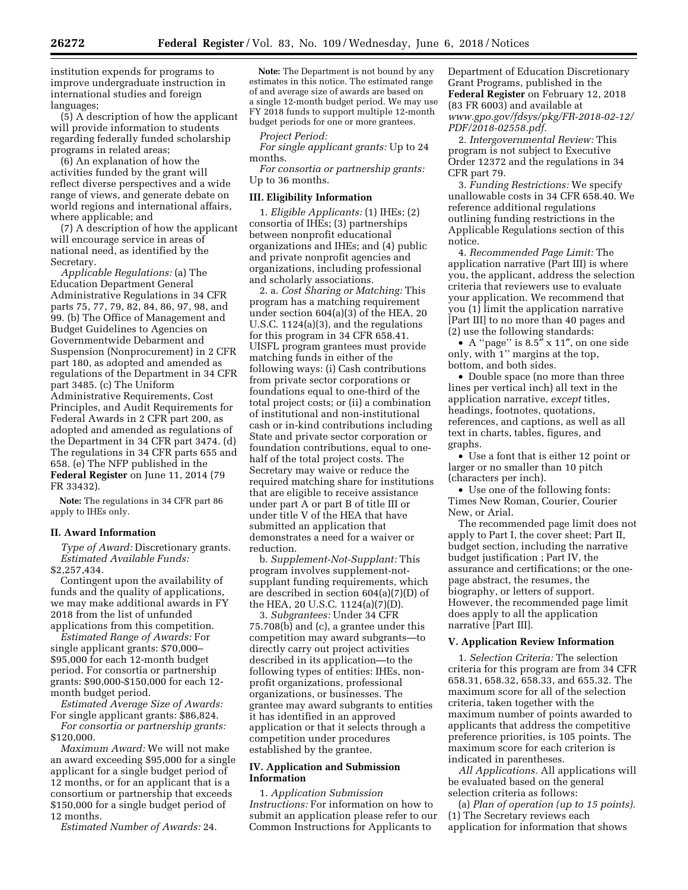institution expends for programs to improve undergraduate instruction in international studies and foreign languages;

(5) A description of how the applicant will provide information to students regarding federally funded scholarship programs in related areas;

(6) An explanation of how the activities funded by the grant will reflect diverse perspectives and a wide range of views, and generate debate on world regions and international affairs, where applicable; and

(7) A description of how the applicant will encourage service in areas of national need, as identified by the Secretary.

*Applicable Regulations:* (a) The Education Department General Administrative Regulations in 34 CFR parts 75, 77, 79, 82, 84, 86, 97, 98, and 99. (b) The Office of Management and Budget Guidelines to Agencies on Governmentwide Debarment and Suspension (Nonprocurement) in 2 CFR part 180, as adopted and amended as regulations of the Department in 34 CFR part 3485. (c) The Uniform Administrative Requirements, Cost Principles, and Audit Requirements for Federal Awards in 2 CFR part 200, as adopted and amended as regulations of the Department in 34 CFR part 3474. (d) The regulations in 34 CFR parts 655 and 658. (e) The NFP published in the **Federal Register** on June 11, 2014 (79 FR 33432).

**Note:** The regulations in 34 CFR part 86 apply to IHEs only.

#### **II. Award Information**

*Type of Award:* Discretionary grants. *Estimated Available Funds:*  \$2,257,434.

Contingent upon the availability of funds and the quality of applications, we may make additional awards in FY 2018 from the list of unfunded applications from this competition.

*Estimated Range of Awards:* For single applicant grants: \$70,000– \$95,000 for each 12-month budget period. For consortia or partnership grants: \$90,000-\$150,000 for each 12 month budget period.

*Estimated Average Size of Awards:*  For single applicant grants: \$86,824.

*For consortia or partnership grants:*  \$120,000.

*Maximum Award:* We will not make an award exceeding \$95,000 for a single applicant for a single budget period of 12 months, or for an applicant that is a consortium or partnership that exceeds \$150,000 for a single budget period of 12 months.

*Estimated Number of Awards:* 24.

**Note:** The Department is not bound by any estimates in this notice. The estimated range of and average size of awards are based on a single 12-month budget period. We may use FY 2018 funds to support multiple 12-month budget periods for one or more grantees.

*Project Period:* 

*For single applicant grants:* Up to 24 months.

*For consortia or partnership grants:*  Up to 36 months.

#### **III. Eligibility Information**

1. *Eligible Applicants:* (1) IHEs; (2) consortia of IHEs; (3) partnerships between nonprofit educational organizations and IHEs; and (4) public and private nonprofit agencies and organizations, including professional and scholarly associations.

2. a. *Cost Sharing or Matching:* This program has a matching requirement under section 604(a)(3) of the HEA, 20 U.S.C. 1124(a)(3), and the regulations for this program in 34 CFR 658.41. UISFL program grantees must provide matching funds in either of the following ways: (i) Cash contributions from private sector corporations or foundations equal to one-third of the total project costs; or (ii) a combination of institutional and non-institutional cash or in-kind contributions including State and private sector corporation or foundation contributions, equal to onehalf of the total project costs. The Secretary may waive or reduce the required matching share for institutions that are eligible to receive assistance under part A or part B of title III or under title V of the HEA that have submitted an application that demonstrates a need for a waiver or reduction.

b. *Supplement-Not-Supplant:* This program involves supplement-notsupplant funding requirements, which are described in section 604(a)(7)(D) of the HEA, 20 U.S.C. 1124(a)(7)(D).

3. *Subgrantees:* Under 34 CFR 75.708(b) and (c), a grantee under this competition may award subgrants—to directly carry out project activities described in its application—to the following types of entities: IHEs, nonprofit organizations, professional organizations, or businesses. The grantee may award subgrants to entities it has identified in an approved application or that it selects through a competition under procedures established by the grantee.

### **IV. Application and Submission Information**

1. *Application Submission Instructions:* For information on how to submit an application please refer to our Common Instructions for Applicants to

Department of Education Discretionary Grant Programs, published in the **Federal Register** on February 12, 2018 (83 FR 6003) and available at *[www.gpo.gov/fdsys/pkg/FR-2018-02-12/](http://www.gpo.gov/fdsys/pkg/FR-2018-02-12/PDF/2018-02558.pdf) [PDF/2018-02558.pdf.](http://www.gpo.gov/fdsys/pkg/FR-2018-02-12/PDF/2018-02558.pdf)* 

2. *Intergovernmental Review:* This program is not subject to Executive Order 12372 and the regulations in 34 CFR part 79.

3. *Funding Restrictions:* We specify unallowable costs in 34 CFR 658.40. We reference additional regulations outlining funding restrictions in the Applicable Regulations section of this notice.

4. *Recommended Page Limit:* The application narrative (Part III) is where you, the applicant, address the selection criteria that reviewers use to evaluate your application. We recommend that you (1) limit the application narrative [Part III] to no more than 40 pages and (2) use the following standards:

• A ''page'' is 8.5″ x 11″, on one side only, with 1'' margins at the top, bottom, and both sides.

• Double space (no more than three lines per vertical inch) all text in the application narrative, *except* titles, headings, footnotes, quotations, references, and captions, as well as all text in charts, tables, figures, and graphs.

• Use a font that is either 12 point or larger or no smaller than 10 pitch (characters per inch).

• Use one of the following fonts: Times New Roman, Courier, Courier New, or Arial.

The recommended page limit does not apply to Part I, the cover sheet; Part II, budget section, including the narrative budget justification ; Part IV, the assurance and certifications; or the onepage abstract, the resumes, the biography, or letters of support. However, the recommended page limit does apply to all the application narrative [Part III].

#### **V. Application Review Information**

1. *Selection Criteria:* The selection criteria for this program are from 34 CFR 658.31, 658.32, 658.33, and 655.32. The maximum score for all of the selection criteria, taken together with the maximum number of points awarded to applicants that address the competitive preference priorities, is 105 points. The maximum score for each criterion is indicated in parentheses.

*All Applications.* All applications will be evaluated based on the general selection criteria as follows:

(a) *Plan of operation (up to 15 points).*  (1) The Secretary reviews each application for information that shows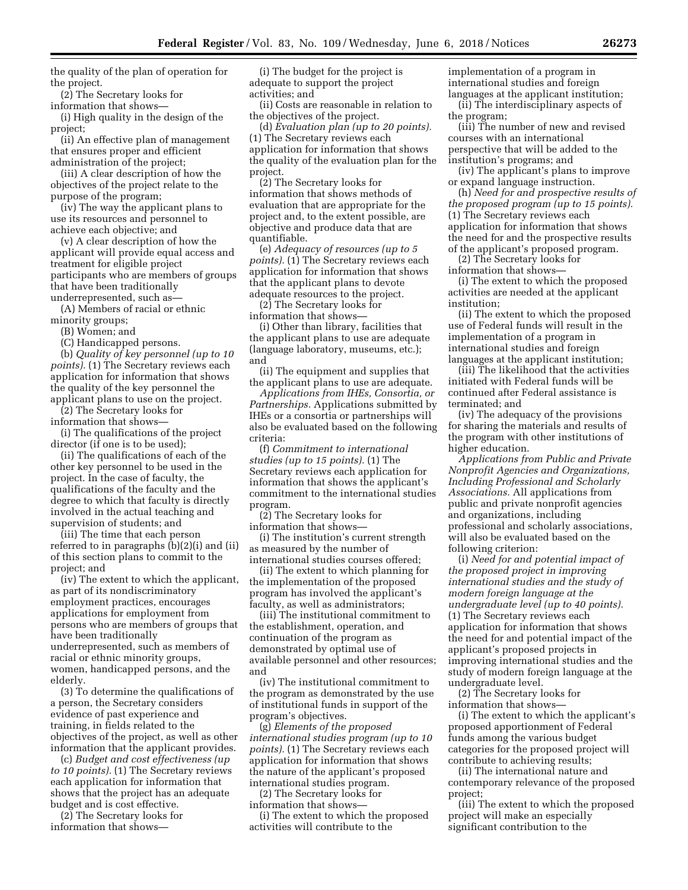the quality of the plan of operation for the project.

(2) The Secretary looks for

information that shows— (i) High quality in the design of the

project; (ii) An effective plan of management that ensures proper and efficient administration of the project;

(iii) A clear description of how the objectives of the project relate to the purpose of the program;

(iv) The way the applicant plans to use its resources and personnel to achieve each objective; and

(v) A clear description of how the applicant will provide equal access and treatment for eligible project participants who are members of groups that have been traditionally underrepresented, such as—

(A) Members of racial or ethnic minority groups;

(B) Women; and

(C) Handicapped persons.

(b) *Quality of key personnel (up to 10 points).* (1) The Secretary reviews each application for information that shows the quality of the key personnel the applicant plans to use on the project.

(2) The Secretary looks for information that shows—

(i) The qualifications of the project director (if one is to be used);

(ii) The qualifications of each of the other key personnel to be used in the project. In the case of faculty, the qualifications of the faculty and the degree to which that faculty is directly involved in the actual teaching and supervision of students; and

(iii) The time that each person referred to in paragraphs (b)(2)(i) and (ii) of this section plans to commit to the project; and

(iv) The extent to which the applicant, as part of its nondiscriminatory employment practices, encourages applications for employment from persons who are members of groups that have been traditionally underrepresented, such as members of racial or ethnic minority groups, women, handicapped persons, and the elderly.

(3) To determine the qualifications of a person, the Secretary considers evidence of past experience and training, in fields related to the objectives of the project, as well as other information that the applicant provides.

(c) *Budget and cost effectiveness (up to 10 points).* (1) The Secretary reviews each application for information that shows that the project has an adequate budget and is cost effective.

(2) The Secretary looks for

information that shows—

(i) The budget for the project is adequate to support the project activities; and

(ii) Costs are reasonable in relation to the objectives of the project.

(d) *Evaluation plan (up to 20 points).*  (1) The Secretary reviews each application for information that shows the quality of the evaluation plan for the project.

(2) The Secretary looks for information that shows methods of evaluation that are appropriate for the project and, to the extent possible, are objective and produce data that are quantifiable.

(e) *Adequacy of resources (up to 5 points).* (1) The Secretary reviews each application for information that shows that the applicant plans to devote adequate resources to the project.

(2) The Secretary looks for information that shows—

(i) Other than library, facilities that the applicant plans to use are adequate (language laboratory, museums, etc.); and

(ii) The equipment and supplies that the applicant plans to use are adequate.

*Applications from IHEs, Consortia, or Partnerships.* Applications submitted by IHEs or a consortia or partnerships will also be evaluated based on the following criteria:

(f) *Commitment to international studies (up to 15 points).* (1) The Secretary reviews each application for information that shows the applicant's commitment to the international studies program.

(2) The Secretary looks for information that shows—

(i) The institution's current strength as measured by the number of international studies courses offered;

(ii) The extent to which planning for the implementation of the proposed program has involved the applicant's faculty, as well as administrators;

(iii) The institutional commitment to the establishment, operation, and continuation of the program as demonstrated by optimal use of available personnel and other resources; and

(iv) The institutional commitment to the program as demonstrated by the use of institutional funds in support of the program's objectives.

(g) *Elements of the proposed international studies program (up to 10 points).* (1) The Secretary reviews each application for information that shows the nature of the applicant's proposed international studies program.

(2) The Secretary looks for

information that shows—

(i) The extent to which the proposed activities will contribute to the

implementation of a program in international studies and foreign languages at the applicant institution;

(ii) The interdisciplinary aspects of the program;

(iii) The number of new and revised courses with an international perspective that will be added to the institution's programs; and

(iv) The applicant's plans to improve or expand language instruction.

(h) *Need for and prospective results of the proposed program (up to 15 points).*  (1) The Secretary reviews each application for information that shows the need for and the prospective results of the applicant's proposed program.

(2) The Secretary looks for information that shows—

(i) The extent to which the proposed activities are needed at the applicant institution;

(ii) The extent to which the proposed use of Federal funds will result in the implementation of a program in international studies and foreign languages at the applicant institution;

(iii) The likelihood that the activities initiated with Federal funds will be continued after Federal assistance is terminated; and

(iv) The adequacy of the provisions for sharing the materials and results of the program with other institutions of higher education.

*Applications from Public and Private Nonprofit Agencies and Organizations, Including Professional and Scholarly Associations.* All applications from public and private nonprofit agencies and organizations, including professional and scholarly associations, will also be evaluated based on the following criterion:

(i) *Need for and potential impact of the proposed project in improving international studies and the study of modern foreign language at the undergraduate level (up to 40 points).*  (1) The Secretary reviews each application for information that shows the need for and potential impact of the applicant's proposed projects in improving international studies and the study of modern foreign language at the undergraduate level.

(2) The Secretary looks for information that shows—

(i) The extent to which the applicant's proposed apportionment of Federal funds among the various budget categories for the proposed project will contribute to achieving results;

(ii) The international nature and contemporary relevance of the proposed project;

(iii) The extent to which the proposed project will make an especially significant contribution to the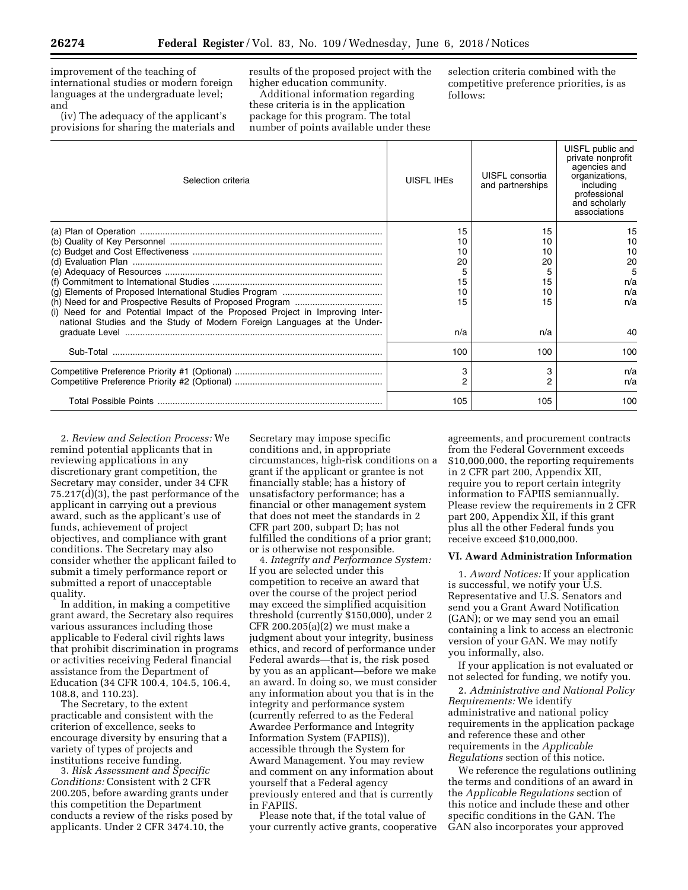improvement of the teaching of international studies or modern foreign languages at the undergraduate level; and

(iv) The adequacy of the applicant's provisions for sharing the materials and results of the proposed project with the higher education community.

Additional information regarding these criteria is in the application package for this program. The total number of points available under these selection criteria combined with the competitive preference priorities, is as follows:

| Selection criteria                                                            | <b>UISFL IHES</b> | UISFL consortia<br>and partnerships | UISFL public and<br>private nonprofit<br>agencies and<br>organizations.<br>including<br>professional<br>and scholarly<br>associations |
|-------------------------------------------------------------------------------|-------------------|-------------------------------------|---------------------------------------------------------------------------------------------------------------------------------------|
|                                                                               | 15<br>10          | 15                                  | 15<br>10                                                                                                                              |
|                                                                               | 10                |                                     | 10                                                                                                                                    |
|                                                                               | 20                | 20                                  | 20                                                                                                                                    |
|                                                                               |                   |                                     | 5                                                                                                                                     |
|                                                                               | 15                | 15                                  | n/a                                                                                                                                   |
|                                                                               | 10                | 10                                  | n/a                                                                                                                                   |
|                                                                               | 15                | 15                                  | n/a                                                                                                                                   |
| (i) Need for and Potential Impact of the Proposed Project in Improving Inter- |                   |                                     |                                                                                                                                       |
| national Studies and the Study of Modern Foreign Languages at the Under-      |                   |                                     |                                                                                                                                       |
|                                                                               | n/a               | n/a                                 | 40                                                                                                                                    |
| Sub-Total                                                                     | 100               | 100                                 | 100                                                                                                                                   |
|                                                                               | 3                 | 3                                   | n/a                                                                                                                                   |
|                                                                               | 2                 | 2                                   | n/a                                                                                                                                   |
|                                                                               | 105               | 105                                 | 100                                                                                                                                   |

2. *Review and Selection Process:* We remind potential applicants that in reviewing applications in any discretionary grant competition, the Secretary may consider, under 34 CFR 75.217(d)(3), the past performance of the applicant in carrying out a previous award, such as the applicant's use of funds, achievement of project objectives, and compliance with grant conditions. The Secretary may also consider whether the applicant failed to submit a timely performance report or submitted a report of unacceptable quality.

In addition, in making a competitive grant award, the Secretary also requires various assurances including those applicable to Federal civil rights laws that prohibit discrimination in programs or activities receiving Federal financial assistance from the Department of Education (34 CFR 100.4, 104.5, 106.4, 108.8, and 110.23).

The Secretary, to the extent practicable and consistent with the criterion of excellence, seeks to encourage diversity by ensuring that a variety of types of projects and institutions receive funding.

3. *Risk Assessment and Specific Conditions:* Consistent with 2 CFR 200.205, before awarding grants under this competition the Department conducts a review of the risks posed by applicants. Under 2 CFR 3474.10, the

Secretary may impose specific conditions and, in appropriate circumstances, high-risk conditions on a grant if the applicant or grantee is not financially stable; has a history of unsatisfactory performance; has a financial or other management system that does not meet the standards in 2 CFR part 200, subpart D; has not fulfilled the conditions of a prior grant; or is otherwise not responsible.

4. *Integrity and Performance System:*  If you are selected under this competition to receive an award that over the course of the project period may exceed the simplified acquisition threshold (currently \$150,000), under 2 CFR 200.205(a)(2) we must make a judgment about your integrity, business ethics, and record of performance under Federal awards—that is, the risk posed by you as an applicant—before we make an award. In doing so, we must consider any information about you that is in the integrity and performance system (currently referred to as the Federal Awardee Performance and Integrity Information System (FAPIIS)), accessible through the System for Award Management. You may review and comment on any information about yourself that a Federal agency previously entered and that is currently in FAPIIS.

Please note that, if the total value of your currently active grants, cooperative

agreements, and procurement contracts from the Federal Government exceeds \$10,000,000, the reporting requirements in 2 CFR part 200, Appendix XII, require you to report certain integrity information to FAPIIS semiannually. Please review the requirements in 2 CFR part 200, Appendix XII, if this grant plus all the other Federal funds you receive exceed \$10,000,000.

### **VI. Award Administration Information**

1. *Award Notices:* If your application is successful, we notify your U.S. Representative and U.S. Senators and send you a Grant Award Notification (GAN); or we may send you an email containing a link to access an electronic version of your GAN. We may notify you informally, also.

If your application is not evaluated or not selected for funding, we notify you.

2. *Administrative and National Policy Requirements:* We identify administrative and national policy requirements in the application package and reference these and other requirements in the *Applicable Regulations* section of this notice.

We reference the regulations outlining the terms and conditions of an award in the *Applicable Regulations* section of this notice and include these and other specific conditions in the GAN. The GAN also incorporates your approved